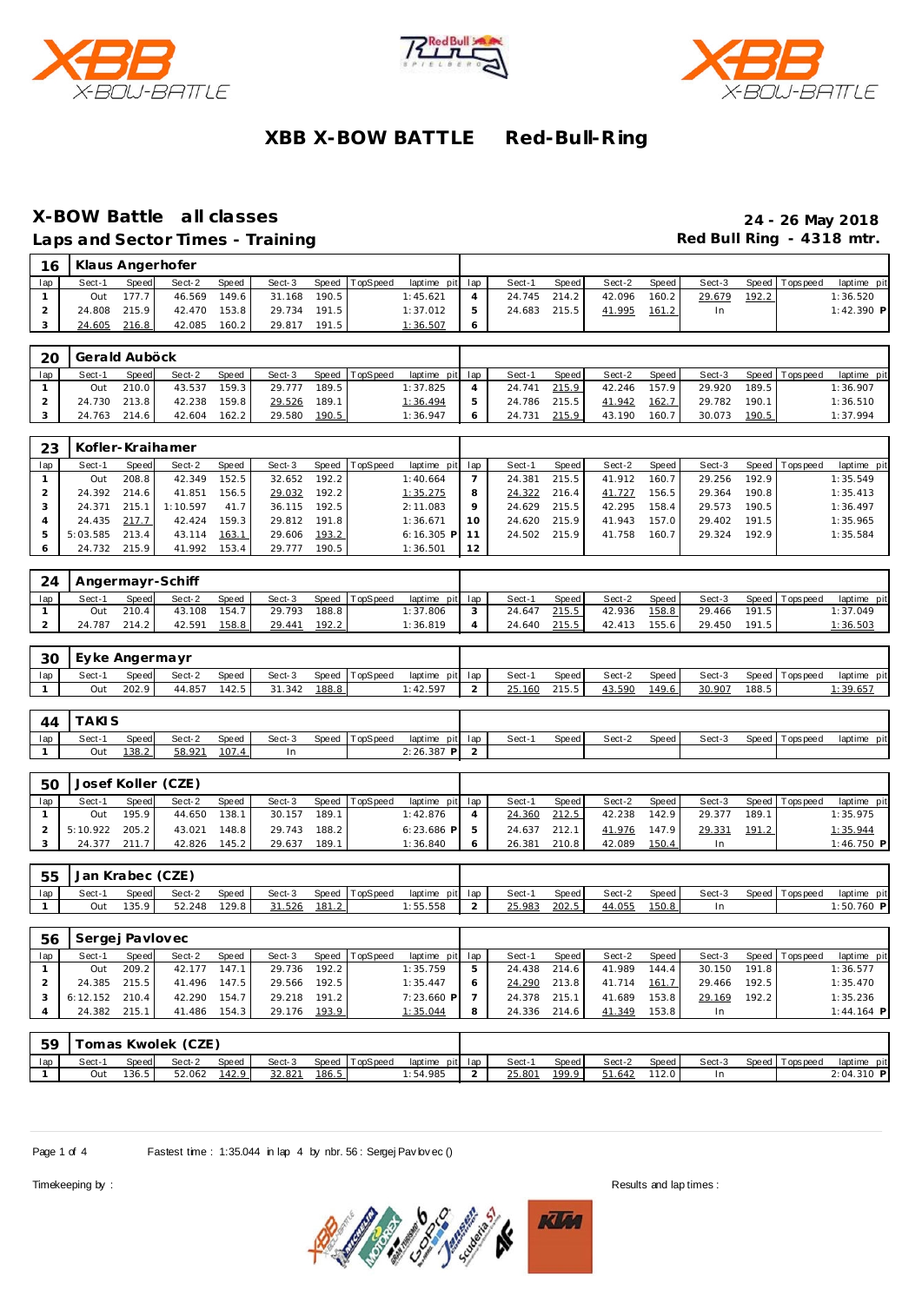





### **X-BOW Battle all classes 24 - 26 May 2018**

Laps and Sector Times - Training **Red Bull Ring - 4318 mtr. Red Bull Ring - 4318 mtr.** 

| 16  |        |              | Klaus Angerhofer |       |        |       |                |                 |        |       |        |       |        |       |                |             |
|-----|--------|--------------|------------------|-------|--------|-------|----------------|-----------------|--------|-------|--------|-------|--------|-------|----------------|-------------|
| lap | Sect-1 | Speed        | Sect-2           | Speed | Sect-3 |       | Speed TopSpeed | laptime pit lap | Sect-1 | Speed | Sect-2 | Speed | Sect-3 |       | Speed Topspeed | laptime pit |
|     | Out    | 177.7        | 46.569           | 149.6 | 31.168 | 190.5 |                | 1:45.621        | 24.745 | 214.2 | 42.096 | 160.2 | 29.679 | 192.2 |                | 1:36.520    |
|     |        | 24.808 215.9 | 42.470           | 153.8 | 29.734 | 191.5 |                | 1:37.012        | 24.683 | 215.5 | 41.995 | 161.2 | In     |       |                | 1:42.390 P  |
|     | 24.605 | 216.8        | 42.085           | 160.2 | 29.817 | 191.5 |                | 1:36.507        |        |       |        |       |        |       |                |             |

| 20  | Gerald Auböck |              |        |       |        |       |                |                 |               |        |         |        |       |        |       |                   |             |
|-----|---------------|--------------|--------|-------|--------|-------|----------------|-----------------|---------------|--------|---------|--------|-------|--------|-------|-------------------|-------------|
| lap | Sect-1        | Speed        | Sect-2 | Speed | Sect-3 |       | Speed TopSpeed | laptime pit lap |               | Sect-1 | Speed I | Sect-2 | Speed | Sect-3 |       | Speed   Tops peed | laptime pit |
|     | Out           | 210.0        | 43.537 | 159.3 | 29.777 | 189.5 |                | 1:37.825        |               | 24.741 | 215.9   | 42.246 | 157.9 | 29.920 | 189.5 |                   | 1:36.907    |
|     |               | 24.730 213.8 | 42.238 | 159.8 | 29.526 | 189.1 |                | 1:36.494        | $\mathcal{P}$ | 24.786 | 215.5   | 41.942 | 162.7 | 29.782 | 190.1 |                   | 1:36.510    |
|     |               | 24.763 214.6 | 42.604 | 162.2 | 29.580 | 190.5 |                | 1:36.947        | 6             | 24.731 | 215.9   | 43.190 | 160.7 | 30.073 | 190.5 |                   | 1:37.994    |

| 23  |          |       | Kofler-Kraihamer |       |        |       |                |                 |    |        |       |        |       |        |       |                 |             |
|-----|----------|-------|------------------|-------|--------|-------|----------------|-----------------|----|--------|-------|--------|-------|--------|-------|-----------------|-------------|
| lap | Sect-1   | Speed | Sect-2           | Speed | Sect-3 |       | Speed TopSpeed | laptime pit lap |    | Sect-1 | Speed | Sect-2 | Speed | Sect-3 |       | Speed Tops peed | laptime pit |
|     | Out      | 208.8 | 42.349           | 152.5 | 32.652 | 192.2 |                | 1:40.664        |    | 24.381 | 215.5 | 41.912 | 160.7 | 29.256 | 192.9 |                 | 1:35.549    |
|     | 24.392   | 214.6 | 41.851           | 156.5 | 29.032 | 192.2 |                | 1:35.275        | 8  | 24.322 | 216.4 | 41.727 | 156.5 | 29.364 | 190.8 |                 | 1:35.413    |
|     | 24.371   | 215.1 | 1:10.597         | 41.7  | 36.115 | 192.5 |                | 2:11.083        | Q  | 24.629 | 215.5 | 42.295 | 158.4 | 29.573 | 190.5 |                 | 1:36.497    |
|     | 24.435   | 217.7 | 42.424           | 159.3 | 29.812 | 191.8 |                | 1:36.671        | 10 | 24.620 | 215.9 | 41.943 | 157.0 | 29.402 | 191.5 |                 | 1:35.965    |
|     | 5:03.585 | 213.4 | 43.114           | 163.1 | 29.606 | 193.2 |                | $6:16.305$ P    |    | 24.502 | 215.9 | 41.758 | 160.7 | 29.324 | 192.9 |                 | 1:35.584    |
|     | 24.732   | 215.9 | 41.992           | 153.4 | 29.777 | 190.5 |                | 1:36.501        | 12 |        |       |        |       |        |       |                 |             |

| 24  | Angermayr-Schiff |              |        |       |        |       |                |                 |        |       |        |       |        |       |                   |             |
|-----|------------------|--------------|--------|-------|--------|-------|----------------|-----------------|--------|-------|--------|-------|--------|-------|-------------------|-------------|
| lap | Sect-1           | <b>Speed</b> | Sect-2 | Speed | Sect-3 |       | Speed TopSpeed | laptime pit lap | Sect-1 | Speed | Sect-2 | Speed | Sect-3 |       | Speed   Tops peed | laptime pit |
|     | Out              | 210.4        | 43.108 | 154.7 | 29.793 | 188.8 |                | 1:37.806        | 24.647 | 215.5 | 42.936 | 158.8 | 29.466 | 191.5 |                   | 1:37.049    |
|     | 24.787           | 214.2        | 42.591 | 158.8 | 29.441 | 192.2 |                | 1:36.819        | 24.640 | 215.5 | 42.413 | 155.6 | 29.450 | 191.5 |                   | 1:36.503    |

| 30  | Eyke Angermayr |       |        |       |        |       |                |                 |        |              |        |       |        |       |                   |                 |
|-----|----------------|-------|--------|-------|--------|-------|----------------|-----------------|--------|--------------|--------|-------|--------|-------|-------------------|-----------------|
| lap | Sect-1         | Speed | Sect-2 | Speed | Sect-3 |       | Speed TopSpeed | laptime pit lap | Sect-  | <b>Speed</b> | Sect-2 | Speed | Sect-3 |       | Speed   Tops peed | laptime pit     |
|     | Out            | 202.9 | 44.857 | 142.5 | 31.342 | 188.8 |                | : 42.597        | 25.160 | 215.5        | 43.590 | 149.6 | 30.907 | 188.5 |                   | <u>: 39.657</u> |

| 44  | <b>TAKIS</b> |               |        |       |        |                |                 |        |       |        |       |        |                |             |
|-----|--------------|---------------|--------|-------|--------|----------------|-----------------|--------|-------|--------|-------|--------|----------------|-------------|
| lap | Sect-        | Speed         | Sect-2 | Speed | Sect-3 | Speed TopSpeed | laptime pit lap | Sect-1 | Speed | Sect-2 | Speed | Sect-3 | Speed Topspeed | laptime pit |
|     | Out          | <u> 138.2</u> | 58.921 | 107.4 | In     |                | $2:26.387$ P    |        |       |        |       |        |                |             |

| -50 |          |       | Josef Koller (CZE) |       |        |       |                |                 |   |        |              |        |       |        |       |                   |             |
|-----|----------|-------|--------------------|-------|--------|-------|----------------|-----------------|---|--------|--------------|--------|-------|--------|-------|-------------------|-------------|
| lap | Sect-1   | Speed | Sect-2             | Speed | Sect-3 |       | Speed TopSpeed | laptime pit lap |   | Sect-1 | <b>Speed</b> | Sect-2 | Speed | Sect-3 |       | Speed   Tops peed | laptime pit |
|     | Out      | 195.9 | 44.650             | 138.1 | 30.157 | 189.1 |                | 1:42.876        | 4 | 24.360 | 212.5        | 42.238 | 142.9 | 29.377 | 189.1 |                   | 1:35.975    |
|     | 5:10.922 | 205.2 | 43.021             | 148.8 | 29.743 | 188.2 |                | $6:23.686$ P    |   | 24.637 | 212.1        | 41.976 | 147.9 | 29.331 | 191.2 |                   | 1:35.944    |
|     | 24.377   | 211.7 | 42.826             | 145.2 | 29.637 | 189.1 |                | 1:36.840        | 6 | 26.381 | 210.8        | 42.089 | 150.4 |        |       |                   | 1:46.750 P  |

| -55 | Jan Krabec (CZE) |       |        |       |        |       |                |                 |        |       |        |       |        |                  |             |
|-----|------------------|-------|--------|-------|--------|-------|----------------|-----------------|--------|-------|--------|-------|--------|------------------|-------------|
| lap | Sect-1           | Speed | Sect-2 | Speed | Sect-3 |       | Speed TopSpeed | laptime pit lap | Sect-1 | Speed | Sect-2 | Speed | Sect-3 | Speed   Topspeed | laptime pit |
|     | Out              | 135.9 | 52.248 | 129.8 | 31.526 | 181.2 |                | 1:55.558        | 25.983 | 202.5 | 44.055 | 150.8 |        |                  | 1:50.760 P  |

| 56  | Sergej Pavlovec |       |        |       |        |       |                |                 |   |        |         |        |       |        |       |                 |              |
|-----|-----------------|-------|--------|-------|--------|-------|----------------|-----------------|---|--------|---------|--------|-------|--------|-------|-----------------|--------------|
| lap | Sect-1          | Speed | Sect-2 | Speed | Sect-3 |       | Speed TopSpeed | laptime pit lap |   | Sect-1 | Speed I | Sect-2 | Speed | Sect-3 |       | Speed Tops peed | laptime pit  |
|     | Out             | 209.2 | 42.177 | 147.1 | 29.736 | 192.2 |                | 1:35.759        | 5 | 24.438 | 214.6   | 41.989 | 144.4 | 30.150 | 191.8 |                 | 1:36.577     |
|     | 24.385          | 215.5 | 41.496 | 147.5 | 29.566 | 192.5 |                | 1:35.447        |   | 24.290 | 213.8   | 41.714 | 161.7 | 29.466 | 192.5 |                 | 1:35.470     |
|     | 6:12.152        | 210.4 | 42.290 | 154.7 | 29.218 | 191.2 |                | $7:23.660$ P    |   | 24.378 | 215.1   | 41.689 | 153.8 | 29.169 | 192.2 |                 | 1:35.236     |
|     | 24.382          | 215.1 | 41.486 | 154.3 | 29.176 | 193.9 |                | 1:35.044        | 8 | 24.336 | 214.6   | 41.349 | 153.8 | In     |       |                 | $1:44.164$ P |
|     |                 |       |        |       |        |       |                |                 |   |        |         |        |       |        |       |                 |              |

| -59 |       | ī omas Kwolek | (CZE   |       |        |       |                |          |         |        |       |        |       |        |                |              |
|-----|-------|---------------|--------|-------|--------|-------|----------------|----------|---------|--------|-------|--------|-------|--------|----------------|--------------|
| lap | Sect- | Speed         | Sect-2 | Speed | Sect-3 |       | Speed TopSpeed | laptime  | pit lap | Sect-1 | Speed | Sect-2 | Speed | Sect-3 | Speed Topspeed | laptime pit  |
|     | Out   | 136.5         | 52.062 | 142.9 | 32.821 | 186.5 |                | 1:54.985 |         | 25.801 | 199.9 | 1.642  | 112.0 |        |                | $2:04.310$ P |

Page 1 of 4 Fastest time : 1:35.044 in lap 4 by nbr. 56 : Sergej Pav lovec ()

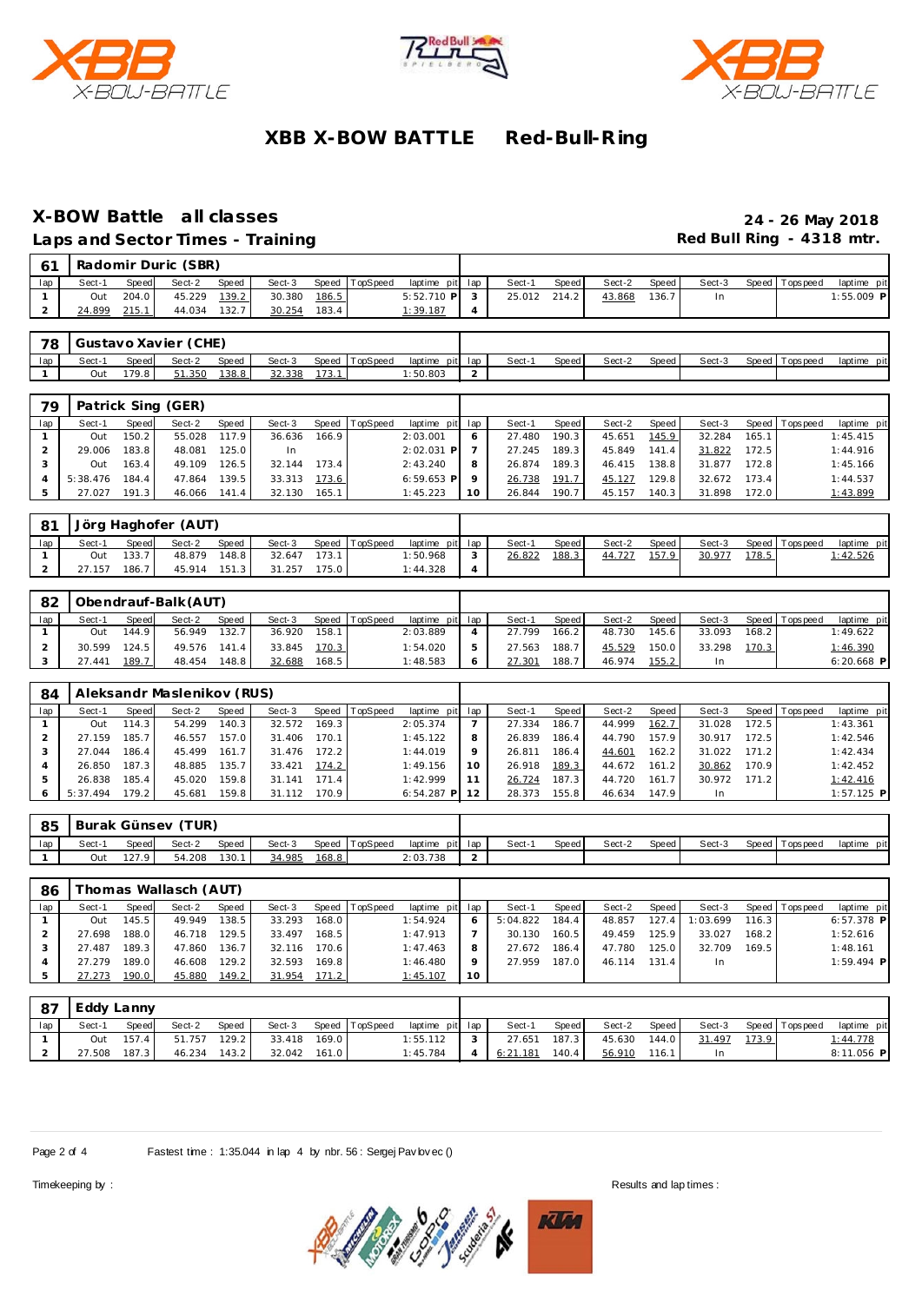





### **X-BOW Battle all classes 24 - 26 May 2018**

Laps and Sector Times - Training **Red Bull Ring - 4318 mtr.** 

| 61                 |        |       | Radomir Duric (SBR) |       |        |       |                |                 |        |              |        |       |        |                   |            |
|--------------------|--------|-------|---------------------|-------|--------|-------|----------------|-----------------|--------|--------------|--------|-------|--------|-------------------|------------|
| lap                | Sect-1 | Speed | Sect-2              | Speed | Sect-3 |       | Speed TopSpeed | laptime pit lap | Sect-1 | <b>Speed</b> | Sect-2 | Speed | Sect-3 | Speed   Tops peed | laptime pi |
|                    | Out    | 204.0 | 45.229              | 139.2 | 30.380 | 186.5 |                | $5:52.710$ P    | 25.012 | 214.2        | 43.868 | 136.7 | In     |                   | 1:55.009 P |
| $\sim$<br><u>.</u> | 24.899 | 215.1 | 44.034              | 132.7 | 30.254 | 183.4 |                | 1:39.187        |        |              |        |       |        |                   |            |

| -78 |       |       | Gustavo Xavier (CHE) |       |        |                |                 |       |       |        |       |        |                   |             |
|-----|-------|-------|----------------------|-------|--------|----------------|-----------------|-------|-------|--------|-------|--------|-------------------|-------------|
| lap | Sect- | Speed | Sect-2               | Speed | Sect-3 | Speed TopSpeed | laptime pit lap | Sect- | Speed | Sect-2 | Speed | Sect-3 | Speed   Tops peed | laptime pit |
|     |       |       |                      |       |        |                |                 |       |       |        |       |        |                   |             |

| 79  |                  |       | Patrick Sing (GER) |       |              |       |                |                 |     |              |         |        |       |              |       |                 |             |
|-----|------------------|-------|--------------------|-------|--------------|-------|----------------|-----------------|-----|--------------|---------|--------|-------|--------------|-------|-----------------|-------------|
| lap | Sect-1           | Speed | Sect-2             | Speed | Sect-3       |       | Speed TopSpeed | laptime pit lap |     | Sect-1       | Speed   | Sect-2 | Speed | Sect-3       |       | Speed Tops peed | laptime pit |
|     | Out              | 150.2 | 55.028 117.9       |       | 36.636       | 166.9 |                | 2:03.001        | 6   | 27.480       | $190.3$ | 45.651 | 145.9 | 32.284       | 165.1 |                 | 1:45.415    |
|     | 29.006 183.8     |       | 48.081             | 125.0 | -In          |       |                | 2:02.031 P      |     | 27.245 189.3 |         | 45.849 | 141.4 | 31.822       | 172.5 |                 | 1:44.916    |
|     | Out              | 163.4 | 49.109             | 126.5 | 32.144       | 173.4 |                | 2:43.240        | - 8 | 26.874 189.3 |         | 46.415 | 138.8 | 31.877 172.8 |       |                 | 1:45.166    |
|     | $5:38.476$ 184.4 |       | 47.864             | 139.5 | 33.313       | 173.6 |                | $6:59.653$ P 9  |     | 26.738 191.7 |         | 45.127 | 129.8 | 32.672 173.4 |       |                 | 1:44.537    |
| 5   | 27.027           | 191.3 | 46.066 141.4       |       | 32.130 165.1 |       |                | 1:45.223        | 10  | 26.844 190.7 |         | 45.157 | 140.3 | 31.898       | 172.0 |                 | 1:43.899    |

| -81 |        |       | Jörg Haghofer (AUT) |        |        |       |                |                 |        |        |       |        |       |        |       |                 |                  |
|-----|--------|-------|---------------------|--------|--------|-------|----------------|-----------------|--------|--------|-------|--------|-------|--------|-------|-----------------|------------------|
| lap | Sect-1 | Speed | Sect-2              | Speed  | Sect-3 |       | Speed TopSpeed | laptime pit lap |        | Sect-1 | Speed | Sect-2 | Speed | Sect-3 |       | Speed Tops peed | laptime pit      |
|     | Out    | 133.7 | 48.879              | 148.8  | 32.647 | 173.1 |                | 1:50.968        | $\sim$ | 26.822 | 188.3 | 44.727 | 157.9 | 30.977 | 178.5 |                 | <u> 1:42.526</u> |
|     | 7.157  | 186.7 | 45.914              | 151.31 | 31.257 | 175.0 |                | 1:44.328        | 4      |        |       |        |       |        |       |                 |                  |

| 82  |        |              | Obendrauf-Balk (AUT) |              |        |       |          |                 |        |       |        |       |        |       |                   |              |
|-----|--------|--------------|----------------------|--------------|--------|-------|----------|-----------------|--------|-------|--------|-------|--------|-------|-------------------|--------------|
| lap | Sect-1 | <b>Speed</b> | Sect-2               | <b>Speed</b> | Sect-3 | Speed | TopSpeed | laptime pit lap | Sect-1 | Speed | Sect-2 | Speed | Sect-3 |       | Speed   Tops peed | laptime pit  |
|     | Out    | 44.9         | 56.949               | 132.7        | 36.920 | 158.1 |          | 2:03.889        | 27.799 | 166.2 | 48.730 | 145.6 | 33.093 | 168.2 |                   | 1:49.622     |
|     | 30.599 | 124.5        | 49.576               | 141.4        | 33.845 | 170.3 |          | : 54.020        | 27.563 | 188.7 | 45.529 | 150.0 | 33.298 | 170.3 |                   | 1:46.390     |
|     | .441   | 189.7        | 48.454               | 148.8        | 32.688 | 168.5 |          | 1:48.583        | 27.301 | 188.7 | 46.974 | 155.2 |        |       |                   | $6:20.668$ P |

| 84  |          |       | Aleksandr Maslenikov (RUS) |       |        |       |          |                 |        |         |        |       |        |       |                 |              |
|-----|----------|-------|----------------------------|-------|--------|-------|----------|-----------------|--------|---------|--------|-------|--------|-------|-----------------|--------------|
| lap | Sect-1   | Speed | Sect-2                     | Speed | Sect-3 | Speed | TopSpeed | laptime pit lap | Sect-1 | Speed I | Sect-2 | Speed | Sect-3 |       | Speed Tops peed | laptime pit  |
|     | Out      | 114.3 | 54.299                     | 140.3 | 32.572 | 169.3 |          | 2:05.374        | 27.334 | 186.7   | 44.999 | 162.7 | 31.028 | 172.5 |                 | 1:43.361     |
|     | 27.159   | 185.7 | 46.557                     | 157.0 | 31.406 | 170.1 |          | 1:45.122        | 26.839 | 186.4   | 44.790 | 157.9 | 30.917 | 172.5 |                 | 1:42.546     |
|     | 27.044   | 186.4 | 45.499                     | 161.7 | 31.476 | 172.2 |          | 1:44.019        | 26.811 | 186.4   | 44.601 | 162.2 | 31.022 | 171.2 |                 | 1:42.434     |
|     | 26.850   | 187.3 | 48.885                     | 135.7 | 33.421 | 174.2 |          | 1:49.156        | 26.918 | 189.3   | 44.672 | 161.2 | 30.862 | 170.9 |                 | 1:42.452     |
|     | 26.838   | 185.4 | 45.020                     | 159.8 | 31.141 | 171.4 |          | 1:42.999        | 26.724 | 187.3   | 44.720 | 161.7 | 30.972 | 171.2 |                 | 1:42.416     |
| 6   | 5:37.494 | 179.2 | 45.681                     | 159.8 | 31.112 | 170.9 |          | $6:54.287$ P    | 28.373 | 155.8   | 46.634 | 147.9 |        |       |                 | $1:57.125$ P |

| 85  |        |       | Burak Günsev (TUR) |       |        |       |                |                 |        |       |        |         |        |                   |             |
|-----|--------|-------|--------------------|-------|--------|-------|----------------|-----------------|--------|-------|--------|---------|--------|-------------------|-------------|
| lap | Sect-1 | Speed | Sect-2             | Speed | Sect-3 |       | Speed TopSpeed | laptime pit lap | Sect-1 | Speed | Sect-2 | Speed I | Sect-3 | Speed   Tops peed | laptime pit |
|     | Out    | 127.9 | 54.208             | 130.1 | 34.985 | 168.8 |                | 2:03.738        |        |       |        |         |        |                   |             |

| 86  |        |                    | Fhomas Wallasch (AUT) |       |        |       |                |                 |         |          |       |        |       |          |       |                 |              |
|-----|--------|--------------------|-----------------------|-------|--------|-------|----------------|-----------------|---------|----------|-------|--------|-------|----------|-------|-----------------|--------------|
| lap | Sect-1 | Speed              | Sect-2                | Speed | Sect-3 |       | Speed TopSpeed | laptime pit lap |         | Sect-1   | Speed | Sect-2 | Speed | Sect-3   |       | Speed Tops peed | laptime pit  |
|     | Out    | 145.5              | 49.949                | 138.5 | 33.293 | 168.0 |                | 1:54.924        | 6       | 5:04.822 | 184.4 | 48.857 | 127.4 | 1:03.699 | 116.3 |                 | $6:57.378$ P |
|     | 27.698 | 188.0              | 46.718                | 129.5 | 33.497 | 168.5 |                | 1:47.913        |         | 30.130   | 160.5 | 49.459 | 125.9 | 33.027   | 168.2 |                 | 1:52.616     |
|     | 27.487 | 189.3 <sub>1</sub> | 47.860                | 136.7 | 32.116 | 170.6 |                | 1:47.463        | 8       | 27.672   | 186.4 | 47.780 | 125.0 | 32.709   | 169.5 |                 | 1:48.161     |
|     | 27.279 | 189.0 <sub>1</sub> | 46.608                | 129.2 | 32.593 | 169.8 |                | 1:46.480        | $\circ$ | 27.959   | 187.0 | 46.114 | 131.4 | In       |       |                 | $1:59.494$ P |
|     | 27.273 | 190.0              | 45.880                | 149.2 | 31.954 | 171.2 |                | 1:45.107        | 10      |          |       |        |       |          |       |                 |              |

| . 87 | Eddy Lanny |       |        |       |        |       |                |                 |        |          |       |        |       |        |       |                   |             |
|------|------------|-------|--------|-------|--------|-------|----------------|-----------------|--------|----------|-------|--------|-------|--------|-------|-------------------|-------------|
| lap  | Sect-1     | Speed | Sect-2 | Speed | Sect-3 |       | Speed TopSpeed | laptime pit lap |        | Sect-1   | Speed | Sect-2 | Speed | Sect-3 |       | Speed   Tops peed | laptime pit |
|      | Out        |       | 51.757 | 129.2 | 33.418 | 169.0 |                | : 55.112        | $\sim$ | 27.651   | 187.3 | 45.630 | 144.0 | 31.497 | 173.9 |                   | 1:44.778    |
|      | 27.508     | 187.3 | 46.234 | 143.2 | 32.042 | 161.0 |                | 1:45.784        |        | 6:21.181 | 140.4 | 56.910 | 116.1 | In     |       |                   | 8:11.056 P  |

Page 2 of 4 Fastest time : 1:35.044 in lap 4 by nbr. 56 : Sergej Pav lovec ()

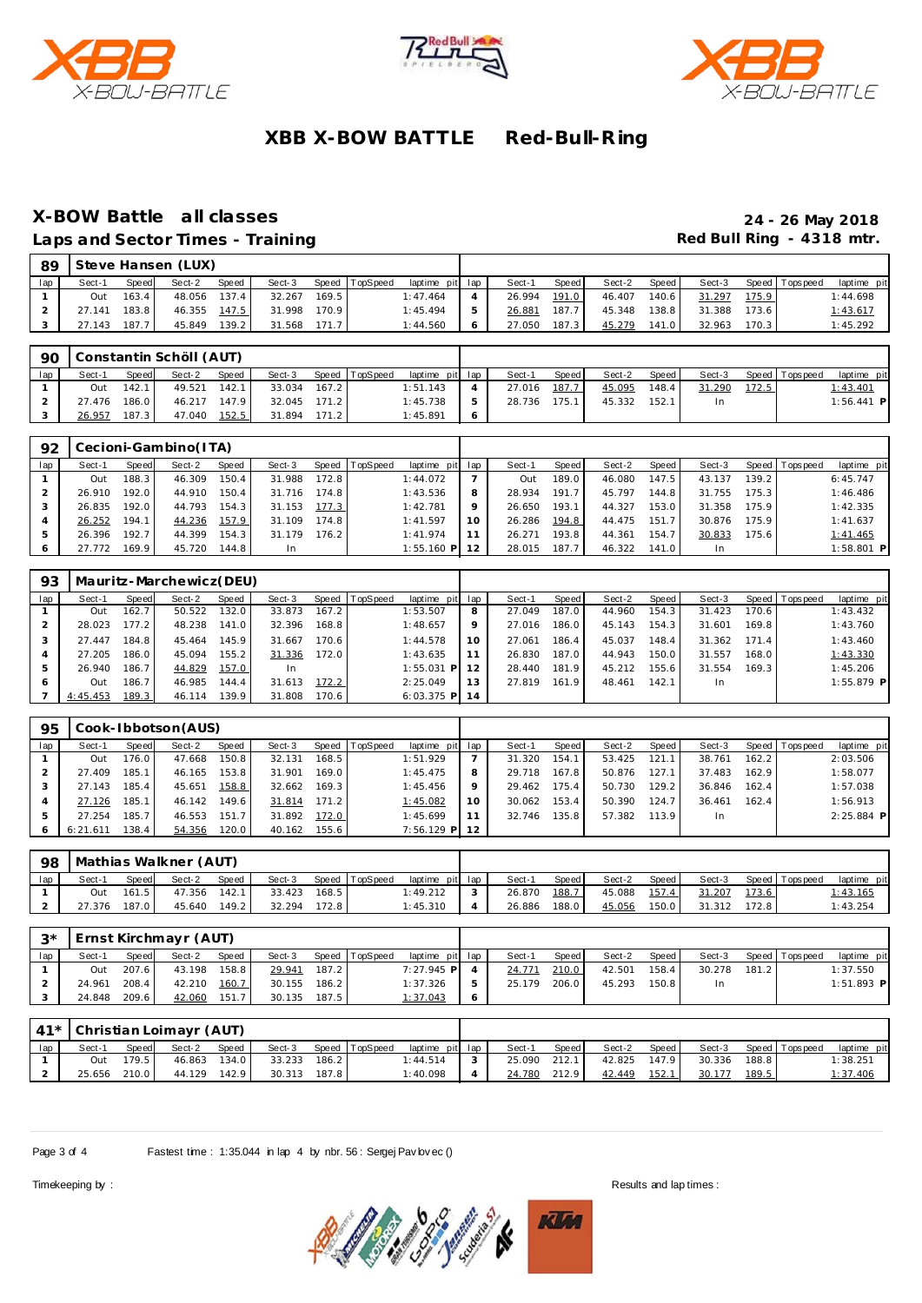





## **X-BOW Battle all classes 24 - 26 May 2018**

Laps and Sector Times - Training **Red Bull Ring - 4318 mtr. Red Bull Ring - 4318 mtr.** 

|     | 89 |              |       | Steve Hansen (LUX) |       |              |       |                       |                 |   |        |       |        |       |                |                   |             |
|-----|----|--------------|-------|--------------------|-------|--------------|-------|-----------------------|-----------------|---|--------|-------|--------|-------|----------------|-------------------|-------------|
| lap |    | Sect-1       | Speed | Sect-2             | Speed |              |       | Sect-3 Speed TopSpeed | laptime pit lap |   | Sect-1 | Speed | Sect-2 | Speed | Sect-3         | Speed   Tops peed | laptime pit |
|     |    | Out          | 163.4 | 48.056 137.4       |       | 32.267       | 169.5 |                       | 1:47.464        |   | 26.994 | 191.0 | 46.407 | 140.6 | 31.297 175.9   |                   | 1:44.698    |
|     |    | 27.141 183.8 |       | 46.355 147.5       |       | 31.998 170.9 |       |                       | 1:45.494        | 5 | 26.881 | 187.7 | 45.348 | 138.8 | 31.388 173.6   |                   | 1:43.617    |
|     |    | 27.143 187.7 |       | 45.849             | 139.2 | 31.568 171.7 |       |                       | 1:44.560        | 6 | 27.050 | 187.3 | 45.279 | 141.0 | $32.963$ 170.3 |                   | 1:45.292    |

| 90  |        |       | Constantin Schöll (AUT) |       |        |       |                |                 |         |        |       |        |       |        |       |                   |                 |  |
|-----|--------|-------|-------------------------|-------|--------|-------|----------------|-----------------|---------|--------|-------|--------|-------|--------|-------|-------------------|-----------------|--|
| lap | Sect-1 | Speed | Sect-2                  | Speed | Sect-3 |       | Speed TopSpeed | laptime pit lap |         | Sect-1 | Speed | Sect-2 | Speed | Sect-3 |       | Speed   Tops peed | laptime pit     |  |
|     | Out    | 142.1 | 49.521                  | 142.1 | 33.034 | 167.2 |                | 1:51.143        | 4       | 27.016 | 187.7 | 45.095 | 148.4 | 31.290 | 172.5 |                   | <u>1:43.401</u> |  |
|     | 27.476 | 186.0 | 46.217                  | 147.9 | 32.045 | 171.2 |                | 1:45.738        | 5       | 28.736 | 175.1 | 45.332 | 152.  | In.    |       |                   | $1:56.441$ P    |  |
|     | 26.957 | 187.3 | 47.040                  | 152.5 | 31.894 | 171.2 |                | 1:45.891        | $\circ$ |        |       |        |       |        |       |                   |                 |  |

| 92  |        |       | Cecioni-Gambino(ITA) |       |        |       |                 |                 |   |        |         |        |       |        |       |                 |             |
|-----|--------|-------|----------------------|-------|--------|-------|-----------------|-----------------|---|--------|---------|--------|-------|--------|-------|-----------------|-------------|
| lap | Sect-1 | Speed | Sect-2               | Speed | Sect-3 | Speed | <b>TopSpeed</b> | laptime pit lap |   | Sect-1 | Speed I | Sect-2 | Speed | Sect-3 |       | Speed Tops peed | laptime pit |
|     | Out    | 188.3 | 46.309               | 150.4 | 31.988 | 172.8 |                 | 1:44.072        |   | Out    | 189.0   | 46.080 | 147.5 | 43.137 | 139.2 |                 | 6:45.747    |
|     | 26.910 | 192.0 | 44.910               | 150.4 | 31.716 | 174.8 |                 | 1:43.536        | 8 | 28.934 | 191.7   | 45.797 | 144.8 | 31.755 | 175.3 |                 | 1:46.486    |
|     | 26.835 | 192.0 | 44.793               | 154.3 | 31.153 | 177.3 |                 | 1:42.781        |   | 26.650 | 193.1   | 44.327 | 153.0 | 31.358 | 175.9 |                 | 1:42.335    |
|     | 26.252 | 194.1 | 44.236               | 157.9 | 31.109 | 174.8 |                 | 1:41.597        |   | 26.286 | 194.8   | 44.475 | 151.7 | 30.876 | 175.9 |                 | 1:41.637    |
|     | 26.396 | 192.7 | 44.399               | 154.3 | 31.179 | 176.2 |                 | 1:41.974        |   | 26.271 | 193.8   | 44.361 | 154.7 | 30.833 | 175.6 |                 | 1:41.465    |
|     | 27.772 | 169.9 | 45.720               | 144.8 | In     |       |                 | 1:55.160 PI     |   | 28.015 | 187.7   | 46.322 | 141.0 | In     |       |                 | 1:58.801 P  |

| 93  |          |       | Mauritz-Marchewicz(DEU) |       |        |       |                |                  |      |        |       |        |       |        |       |                |              |
|-----|----------|-------|-------------------------|-------|--------|-------|----------------|------------------|------|--------|-------|--------|-------|--------|-------|----------------|--------------|
| lap | Sect-1   | Speed | Sect-2                  | Speed | Sect-3 |       | Speed TopSpeed | laptime pit      | lap  | Sect-1 | Speed | Sect-2 | Speed | Sect-3 |       | Speed Topspeed | laptime pit  |
|     | Out      | 162.7 | 50.522                  | 132.0 | 33.873 | 167.2 |                | 1:53.507         | 8    | 27.049 | 187.0 | 44.960 | 154.3 | 31.423 | 170.6 |                | 1:43.432     |
|     | 28.023   | 177.2 | 48.238                  | 141.0 | 32.396 | 168.8 |                | 1:48.657         | 9    | 27.016 | 186.0 | 45.143 | 154.3 | 31.601 | 169.8 |                | 1:43.760     |
|     | 27.447   | 184.8 | 45.464                  | 145.9 | 31.667 | 170.6 |                | 1:44.578         | 10   | 27.061 | 186.4 | 45.037 | 148.4 | 31.362 | 171.4 |                | 1:43.460     |
|     | 27.205   | 186.0 | 45.094                  | 155.2 | 31.336 | 172.0 |                | 1:43.635         | 11   | 26.830 | 187.0 | 44.943 | 150.0 | 31.557 | 168.0 |                | 1:43.330     |
|     | 26.940   | 186.7 | 44.829                  | 157.0 | In     |       |                | 1:55.031         | P 12 | 28.440 | 181.9 | 45.212 | 155.6 | 31.554 | 169.3 |                | 1:45.206     |
| 6   | Out      | 186.7 | 46.985                  | 144.4 | 31.613 | 172.2 |                | 2:25.049         | 13   | 27.819 | 161.9 | 48.461 | 142.1 | In.    |       |                | $1:55.879$ P |
|     | 4:45.453 | 189.3 | 46.114                  | 139.9 | 31.808 | 170.6 |                | $6:03.375$ PI 14 |      |        |       |        |       |        |       |                |              |

| 95  |          |       | Cook-Ibbotson(AUS) |       |        |       |                |                 |     |        |       |        |       |        |       |                |              |
|-----|----------|-------|--------------------|-------|--------|-------|----------------|-----------------|-----|--------|-------|--------|-------|--------|-------|----------------|--------------|
| lap | Sect-1   | Speed | Sect-2             | Speed | Sect-3 |       | Speed TopSpeed | laptime pit     | lap | Sect-1 | Speed | Sect-2 | Speed | Sect-3 |       | Speed Topspeed | laptime pit  |
|     | Out      | 76.0  | 47.668             | 150.8 | 32.131 | 168.5 |                | 1:51.929        |     | 31.320 | 154.1 | 53.425 | 121.1 | 38.761 | 162.2 |                | 2:03.506     |
|     | 27.409   | 185.1 | 46.165             | 153.8 | 31.901 | 169.0 |                | 1:45.475        | 8   | 29.718 | 167.8 | 50.876 | 127.  | 37.483 | 162.9 |                | 1:58.077     |
|     | 27.143   | 185.4 | 45.651             | 158.8 | 32.662 | 169.3 |                | 1:45.456        | Q   | 29.462 | 175.4 | 50.730 | 129.2 | 36.846 | 162.4 |                | 1:57.038     |
|     | 27.126   | 185.1 | 46.142             | 149.6 | 31.814 | 171.2 |                | 1:45.082        | 10  | 30.062 | 153.4 | 50.390 | 124.7 | 36.461 | 162.4 |                | 1:56.913     |
|     | 27.254   | 185.7 | 46.553             | 151.7 | 31.892 | 172.0 |                | 1:45.699        | 11  | 32.746 | 135.8 | 57.382 | 113.9 | In.    |       |                | $2:25.884$ P |
| 6   | 6:21.611 | 138.4 | 54.356             | 120.0 | 40.162 | 155.6 |                | $7:56.129$ P 12 |     |        |       |        |       |        |       |                |              |

| 98  |        |       | Mathias Walkner (AUT) |       |        |                    |                |                 |            |        |       |        |       |        |        |                   |                 |
|-----|--------|-------|-----------------------|-------|--------|--------------------|----------------|-----------------|------------|--------|-------|--------|-------|--------|--------|-------------------|-----------------|
| lap | Sect-1 | Speed | Sect-2                | Speed | Sect-3 |                    | Speed TopSpeed | laptime pit lap |            | Sect-1 | Speed | Sect-2 | Speed | Sect-3 |        | Speed   Tops peed | laptime pit     |
|     | Out    | 161.5 | 47.356                | 142.1 | 33.423 | 168.5              |                | 1:49.212        | $\sqrt{2}$ | 26.870 | 188.7 | 45.088 | 157.4 | 31.207 | 1,73.6 |                   | <u>l:43.165</u> |
|     | 27.376 | 187.0 | 45.640                | 149.2 | 32.294 | 172.8 <sub>1</sub> |                | 1:45.310        |            | 26.886 | 188.0 | 45.056 | 150.0 | 31.312 | 172.8  |                   | 1:43.254        |

| $\mathcal{L} \times$ |        |       | Ernst Kirchmayr (AUT) |       |        |       |                |                  |   |        |       |        |       |        |       |                |              |
|----------------------|--------|-------|-----------------------|-------|--------|-------|----------------|------------------|---|--------|-------|--------|-------|--------|-------|----------------|--------------|
| lap                  | Sect-1 | Speed | Sect-2                | Speed | Sect-3 |       | Speed TopSpeed | laptime pit lap  |   | Sect-1 | Speed | Sect-2 | Speed | Sect-3 |       | Speed Topspeed | laptime pit  |
|                      | Out    | 207.6 | 43.198                | 158.8 | 29.941 | 187.2 |                | $7:27.945$ P $4$ |   | 24.771 | 210.0 | 42.501 | 158.4 | 30.278 | 181.2 |                | 1:37.550     |
|                      | 24.961 | 208.4 | 42.210                | 160.7 | 30.155 | 186.2 |                | 1:37.326         | 5 | 25.179 | 206.0 | 45.293 | 150.8 | In.    |       |                | $1:51.893$ P |
|                      | 24.848 | 209.6 | 42.060                | 151.7 | 30.135 | 187.5 |                | 1:37.043         | 6 |        |       |        |       |        |       |                |              |
|                      |        |       |                       |       |        |       |                |                  |   |        |       |        |       |        |       |                |              |

|     |        |       | $41*$ Christian Loimayr (AUT) |       |        |       |                |                 |        |       |        |       |        |       |                   |             |
|-----|--------|-------|-------------------------------|-------|--------|-------|----------------|-----------------|--------|-------|--------|-------|--------|-------|-------------------|-------------|
| lap | Sect-1 | Speed | Sect-2                        | Speed | Sect-3 |       | Speed TopSpeed | laptime pit lap | Sect-1 | Speed | Sect-2 | Speed | Sect-3 |       | Speed   Tops peed | laptime pit |
|     | Out    | 179.5 | 46.863                        | 134.0 | 33.233 | 186.2 |                | 1:44.514        | 25.090 | 212.1 | 42.825 | 147.9 | 30.336 | 188.8 |                   | 1:38.251    |
|     | 25.656 | 210.0 | 44.129                        | 142.9 | 30.313 | 187.8 |                | 1:40.098        | 24.780 | 212.9 | 42.449 | 152.1 | 30.177 | 189.5 |                   | 1:37.406    |

Page 3 of 4 Fastest time : 1:35.044 in lap 4 by nbr. 56 : Sergej Pav lovec ()